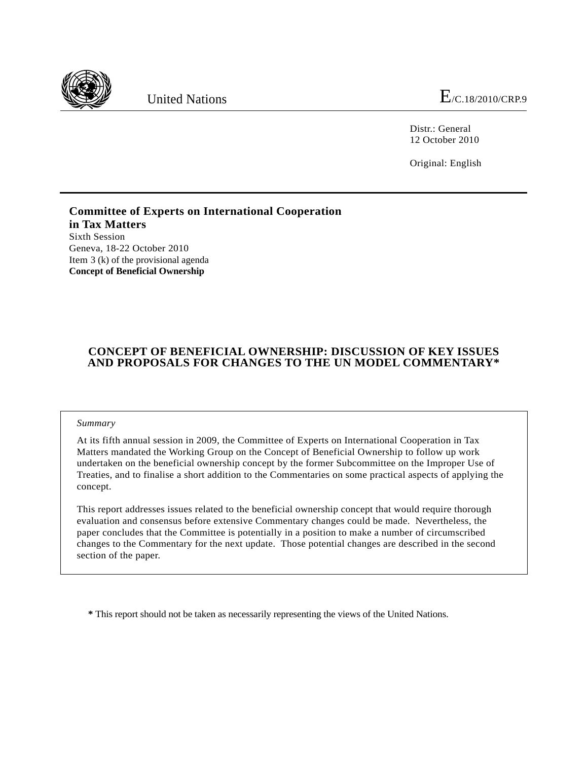

Distr.: General 12 October 2010

Original: English

**Committee of Experts on International Cooperation in Tax Matters**  Sixth Session Geneva, 18-22 October 2010 Item 3 (k) of the provisional agenda **Concept of Beneficial Ownership**

# **CONCEPT OF BENEFICIAL OWNERSHIP: DISCUSSION OF KEY ISSUES AND PROPOSALS FOR CHANGES TO THE UN MODEL COMMENTARY\***

#### *Summary*

At its fifth annual session in 2009, the Committee of Experts on International Cooperation in Tax Matters mandated the Working Group on the Concept of Beneficial Ownership to follow up work undertaken on the beneficial ownership concept by the former Subcommittee on the Improper Use of Treaties, and to finalise a short addition to the Commentaries on some practical aspects of applying the concept.

This report addresses issues related to the beneficial ownership concept that would require thorough evaluation and consensus before extensive Commentary changes could be made. Nevertheless, the paper concludes that the Committee is potentially in a position to make a number of circumscribed changes to the Commentary for the next update. Those potential changes are described in the second section of the paper.

**\*** This report should not be taken as necessarily representing the views of the United Nations.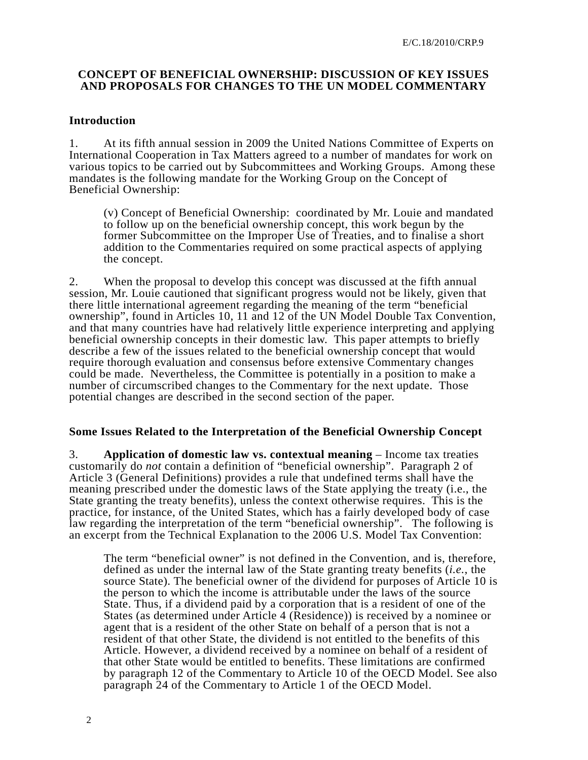## **CONCEPT OF BENEFICIAL OWNERSHIP: DISCUSSION OF KEY ISSUES AND PROPOSALS FOR CHANGES TO THE UN MODEL COMMENTARY**

## **Introduction**

1. At its fifth annual session in 2009 the United Nations Committee of Experts on International Cooperation in Tax Matters agreed to a number of mandates for work on various topics to be carried out by Subcommittees and Working Groups. Among these mandates is the following mandate for the Working Group on the Concept of Beneficial Ownership:

(v) Concept of Beneficial Ownership: coordinated by Mr. Louie and mandated to follow up on the beneficial ownership concept, this work begun by the former Subcommittee on the Improper Use of Treaties, and to finalise a short addition to the Commentaries required on some practical aspects of applying the concept.

2. When the proposal to develop this concept was discussed at the fifth annual session, Mr. Louie cautioned that significant progress would not be likely, given that there little international agreement regarding the meaning of the term "beneficial ownership", found in Articles 10, 11 and 12 of the UN Model Double Tax Convention, and that many countries have had relatively little experience interpreting and applying beneficial ownership concepts in their domestic law. This paper attempts to briefly describe a few of the issues related to the beneficial ownership concept that would require thorough evaluation and consensus before extensive Commentary changes could be made. Nevertheless, the Committee is potentially in a position to make a number of circumscribed changes to the Commentary for the next update. Those potential changes are described in the second section of the paper.

### **Some Issues Related to the Interpretation of the Beneficial Ownership Concept**

3. **Application of domestic law vs. contextual meaning** – Income tax treaties customarily do *not* contain a definition of "beneficial ownership". Paragraph 2 of Article 3 (General Definitions) provides a rule that undefined terms shall have the meaning prescribed under the domestic laws of the State applying the treaty (i.e., the State granting the treaty benefits), unless the context otherwise requires. This is the practice, for instance, of the United States, which has a fairly developed body of case law regarding the interpretation of the term "beneficial ownership". The following is an excerpt from the Technical Explanation to the 2006 U.S. Model Tax Convention:

The term "beneficial owner" is not defined in the Convention, and is, therefore, defined as under the internal law of the State granting treaty benefits (*i.e.*, the source State). The beneficial owner of the dividend for purposes of Article 10 is the person to which the income is attributable under the laws of the source State. Thus, if a dividend paid by a corporation that is a resident of one of the States (as determined under Article 4 (Residence)) is received by a nominee or agent that is a resident of the other State on behalf of a person that is not a resident of that other State, the dividend is not entitled to the benefits of this Article. However, a dividend received by a nominee on behalf of a resident of that other State would be entitled to benefits. These limitations are confirmed by paragraph 12 of the Commentary to Article 10 of the OECD Model. See also paragraph 24 of the Commentary to Article 1 of the OECD Model.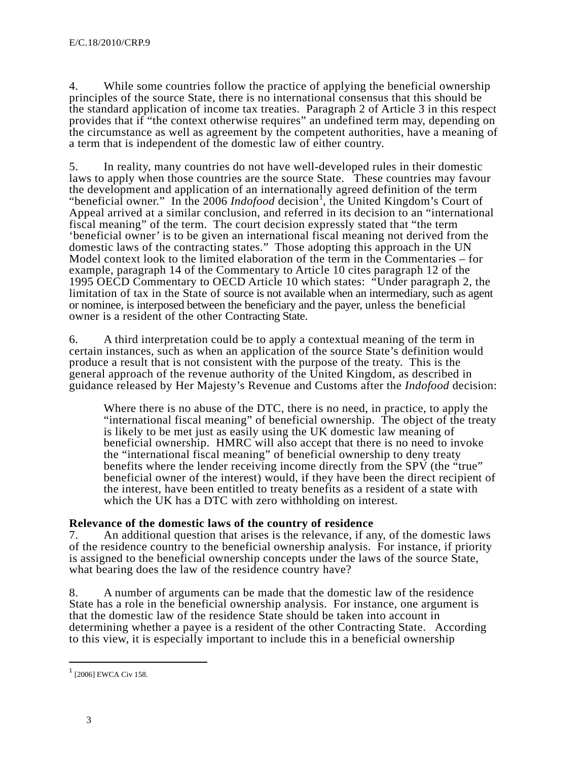4. While some countries follow the practice of applying the beneficial ownership principles of the source State, there is no international consensus that this should be the standard application of income tax treaties. Paragraph 2 of Article 3 in this respect provides that if "the context otherwise requires" an undefined term may, depending on the circumstance as well as agreement by the competent authorities, have a meaning of a term that is independent of the domestic law of either country.

5. In reality, many countries do not have well-developed rules in their domestic laws to apply when those countries are the source State. These countries may favour the development and application of an internationally agreed definition of the term "beneficial owner." In the 2006 *Indofood* decision<sup>1</sup>, the United Kingdom's Court of Appeal arrived at a similar conclusion, and referred in its decision to an "international fiscal meaning" of the term. The court decision expressly stated that "the term 'beneficial owner' is to be given an international fiscal meaning not derived from the domestic laws of the contracting states." Those adopting this approach in the UN Model context look to the limited elaboration of the term in the Commentaries – for example, paragraph 14 of the Commentary to Article 10 cites paragraph 12 of the 1995 OECD Commentary to OECD Article 10 which states: "Under paragraph 2, the limitation of tax in the State of source is not available when an intermediary, such as agent or nominee, is interposed between the beneficiary and the payer, unless the beneficial owner is a resident of the other Contracting State.

6. A third interpretation could be to apply a contextual meaning of the term in certain instances, such as when an application of the source State's definition would produce a result that is not consistent with the purpose of the treaty. This is the general approach of the revenue authority of the United Kingdom, as described in guidance released by Her Majesty's Revenue and Customs after the *Indofood* decision:

Where there is no abuse of the DTC, there is no need, in practice, to apply the "international fiscal meaning" of beneficial ownership. The object of the treaty is likely to be met just as easily using the UK domestic law meaning of beneficial ownership. HMRC will also accept that there is no need to invoke the "international fiscal meaning" of beneficial ownership to deny treaty benefits where the lender receiving income directly from the SPV (the "true" beneficial owner of the interest) would, if they have been the direct recipient of the interest, have been entitled to treaty benefits as a resident of a state with which the UK has a DTC with zero withholding on interest.

# **Relevance of the domestic laws of the country of residence**

7. An additional question that arises is the relevance, if any, of the domestic laws of the residence country to the beneficial ownership analysis. For instance, if priority is assigned to the beneficial ownership concepts under the laws of the source State, what bearing does the law of the residence country have?

8. A number of arguments can be made that the domestic law of the residence State has a role in the beneficial ownership analysis. For instance, one argument is that the domestic law of the residence State should be taken into account in determining whether a payee is a resident of the other Contracting State. According to this view, it is especially important to include this in a beneficial ownership

 $1$  [2006] EWCA Civ 158.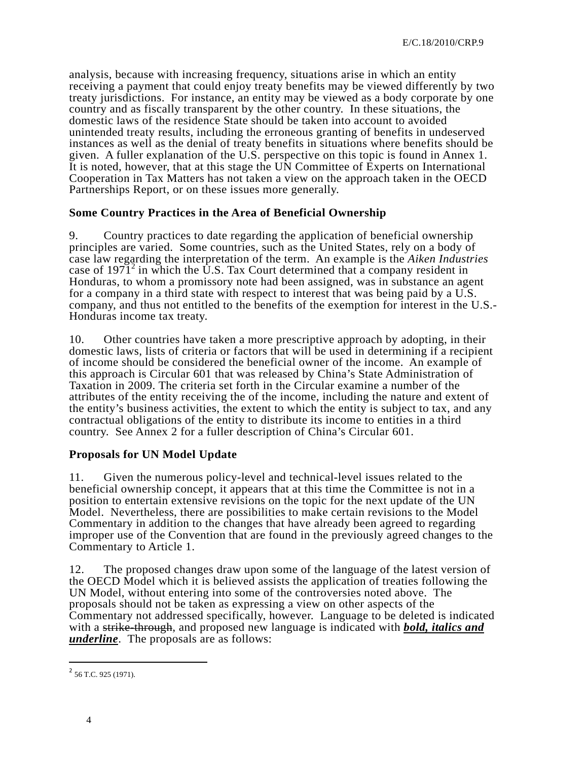analysis, because with increasing frequency, situations arise in which an entity receiving a payment that could enjoy treaty benefits may be viewed differently by two treaty jurisdictions. For instance, an entity may be viewed as a body corporate by one country and as fiscally transparent by the other country. In these situations, the domestic laws of the residence State should be taken into account to avoided unintended treaty results, including the erroneous granting of benefits in undeserved instances as well as the denial of treaty benefits in situations where benefits should be given. A fuller explanation of the U.S. perspective on this topic is found in Annex 1. It is noted, however, that at this stage the UN Committee of Experts on International Cooperation in Tax Matters has not taken a view on the approach taken in the OECD Partnerships Report, or on these issues more generally.

# **Some Country Practices in the Area of Beneficial Ownership**

9. Country practices to date regarding the application of beneficial ownership principles are varied. Some countries, such as the United States, rely on a body of case law regarding the interpretation of the term. An example is the *Aiken Industries* case of 1971<sup>2</sup> in which the U.S. Tax Court determined that a company resident in Honduras, to whom a promissory note had been assigned, was in substance an agent for a company in a third state with respect to interest that was being paid by a U.S. company, and thus not entitled to the benefits of the exemption for interest in the U.S.- Honduras income tax treaty.

10. Other countries have taken a more prescriptive approach by adopting, in their domestic laws, lists of criteria or factors that will be used in determining if a recipient of income should be considered the beneficial owner of the income. An example of this approach is Circular 601 that was released by China's State Administration of Taxation in 2009. The criteria set forth in the Circular examine a number of the attributes of the entity receiving the of the income, including the nature and extent of the entity's business activities, the extent to which the entity is subject to tax, and any contractual obligations of the entity to distribute its income to entities in a third country. See Annex 2 for a fuller description of China's Circular 601.

# **Proposals for UN Model Update**

11. Given the numerous policy-level and technical-level issues related to the beneficial ownership concept, it appears that at this time the Committee is not in a position to entertain extensive revisions on the topic for the next update of the UN Model. Nevertheless, there are possibilities to make certain revisions to the Model Commentary in addition to the changes that have already been agreed to regarding improper use of the Convention that are found in the previously agreed changes to the Commentary to Article 1.

12. The proposed changes draw upon some of the language of the latest version of the OECD Model which it is believed assists the application of treaties following the UN Model, without entering into some of the controversies noted above. The proposals should not be taken as expressing a view on other aspects of the Commentary not addressed specifically, however. Language to be deleted is indicated with a strike-through, and proposed new language is indicated with *bold, italics and underline*. The proposals are as follows:

 $^{2}$  56 T.C. 925 (1971).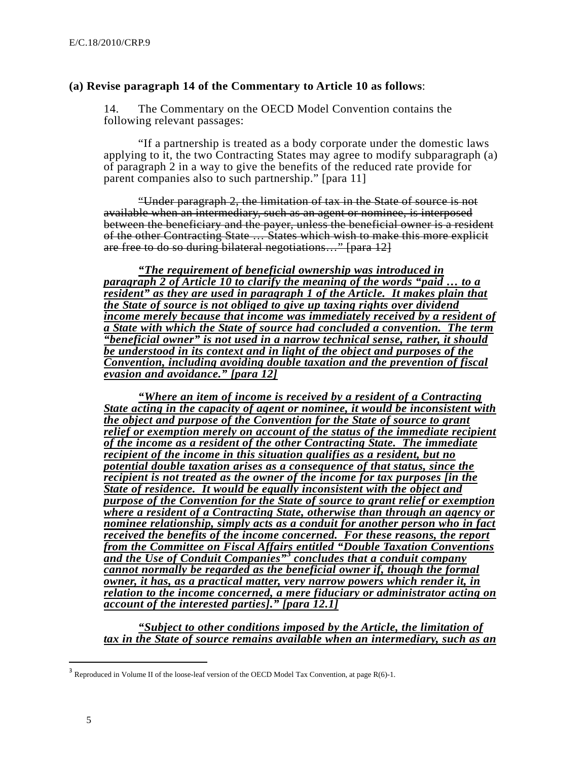### **(a) Revise paragraph 14 of the Commentary to Article 10 as follows**:

14. The Commentary on the OECD Model Convention contains the following relevant passages:

"If a partnership is treated as a body corporate under the domestic laws applying to it, the two Contracting States may agree to modify subparagraph (a) of paragraph 2 in a way to give the benefits of the reduced rate provide for parent companies also to such partnership." [para 11]

"Under paragraph 2, the limitation of tax in the State of source is not available when an intermediary, such as an agent or nominee, is interposed between the beneficiary and the payer, unless the beneficial owner is a resident of the other Contracting State … States which wish to make this more explicit are free to do so during bilateral negotiations…" [para 12]

*"The requirement of beneficial ownership was introduced in paragraph 2 of Article 10 to clarify the meaning of the words "paid … to a resident" as they are used in paragraph 1 of the Article. It makes plain that the State of source is not obliged to give up taxing rights over dividend income merely because that income was immediately received by a resident of a State with which the State of source had concluded a convention. The term "beneficial owner" is not used in a narrow technical sense, rather, it should be understood in its context and in light of the object and purposes of the Convention, including avoiding double taxation and the prevention of fiscal evasion and avoidance." [para 12]*

*"Where an item of income is received by a resident of a Contracting State acting in the capacity of agent or nominee, it would be inconsistent with the object and purpose of the Convention for the State of source to grant relief or exemption merely on account of the status of the immediate recipient of the income as a resident of the other Contracting State. The immediate recipient of the income in this situation qualifies as a resident, but no potential double taxation arises as a consequence of that status, since the recipient is not treated as the owner of the income for tax purposes [in the State of residence. It would be equally inconsistent with the object and purpose of the Convention for the State of source to grant relief or exemption where a resident of a Contracting State, otherwise than through an agency or nominee relationship, simply acts as a conduit for another person who in fact received the benefits of the income concerned. For these reasons, the report from the Committee on Fiscal Affairs entitled "Double Taxation Conventions and the Use of Conduit Companies"<sup>3</sup> concludes that a conduit company cannot normally be regarded as the beneficial owner if, though the formal owner, it has, as a practical matter, very narrow powers which render it, in relation to the income concerned, a mere fiduciary or administrator acting on account of the interested parties]." [para 12.1]*

*"Subject to other conditions imposed by the Article, the limitation of tax in the State of source remains available when an intermediary, such as an* 

<sup>&</sup>lt;sup>3</sup> Reproduced in Volume II of the loose-leaf version of the OECD Model Tax Convention, at page  $R(6)-1$ .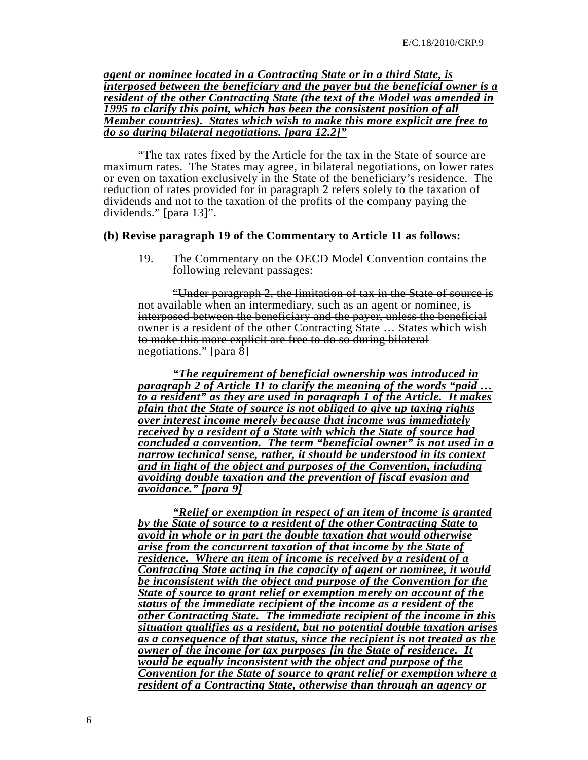### *agent or nominee located in a Contracting State or in a third State, is interposed between the beneficiary and the payer but the beneficial owner is a resident of the other Contracting State (the text of the Model was amended in 1995 to clarify this point, which has been the consistent position of all Member countries). States which wish to make this more explicit are free to do so during bilateral negotiations. [para 12.2]"*

"The tax rates fixed by the Article for the tax in the State of source are maximum rates. The States may agree, in bilateral negotiations, on lower rates or even on taxation exclusively in the State of the beneficiary's residence. The reduction of rates provided for in paragraph 2 refers solely to the taxation of dividends and not to the taxation of the profits of the company paying the dividends." [para 13]".

#### **(b) Revise paragraph 19 of the Commentary to Article 11 as follows:**

19. The Commentary on the OECD Model Convention contains the following relevant passages:

"Under paragraph 2, the limitation of tax in the State of source is not available when an intermediary, such as an agent or nominee, is interposed between the beneficiary and the payer, unless the beneficial owner is a resident of the other Contracting State … States which wish to make this more explicit are free to do so during bilateral negotiations." [para 8]

*"The requirement of beneficial ownership was introduced in paragraph 2 of Article 11 to clarify the meaning of the words "paid … to a resident" as they are used in paragraph 1 of the Article. It makes plain that the State of source is not obliged to give up taxing rights over interest income merely because that income was immediately received by a resident of a State with which the State of source had concluded a convention. The term "beneficial owner" is not used in a narrow technical sense, rather, it should be understood in its context and in light of the object and purposes of the Convention, including avoiding double taxation and the prevention of fiscal evasion and avoidance." [para 9]*

*"Relief or exemption in respect of an item of income is granted by the State of source to a resident of the other Contracting State to avoid in whole or in part the double taxation that would otherwise arise from the concurrent taxation of that income by the State of residence. Where an item of income is received by a resident of a Contracting State acting in the capacity of agent or nominee, it would be inconsistent with the object and purpose of the Convention for the State of source to grant relief or exemption merely on account of the status of the immediate recipient of the income as a resident of the other Contracting State. The immediate recipient of the income in this situation qualifies as a resident, but no potential double taxation arises as a consequence of that status, since the recipient is not treated as the owner of the income for tax purposes [in the State of residence. It would be equally inconsistent with the object and purpose of the Convention for the State of source to grant relief or exemption where a resident of a Contracting State, otherwise than through an agency or*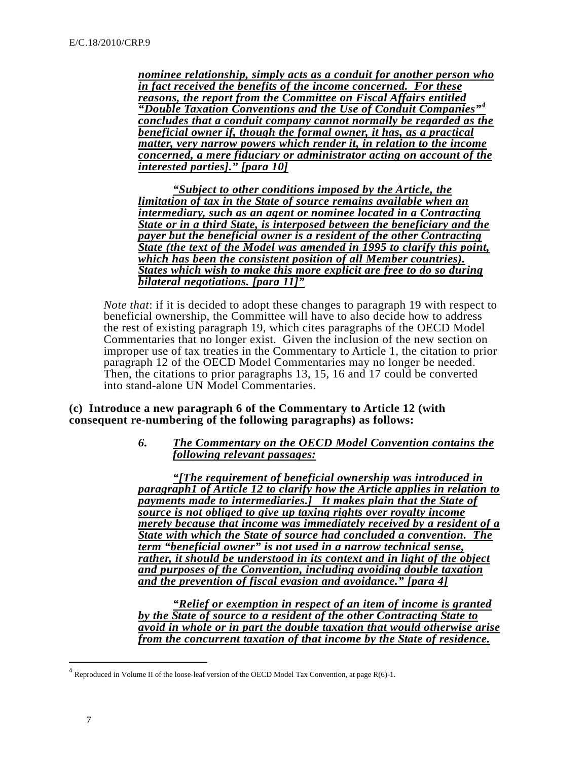*nominee relationship, simply acts as a conduit for another person who in fact received the benefits of the income concerned. For these reasons, the report from the Committee on Fiscal Affairs entitled "Double Taxation Conventions and the Use of Conduit Companies"<sup>4</sup> concludes that a conduit company cannot normally be regarded as the beneficial owner if, though the formal owner, it has, as a practical matter, very narrow powers which render it, in relation to the income concerned, a mere fiduciary or administrator acting on account of the interested parties]." [para 10]*

*"Subject to other conditions imposed by the Article, the limitation of tax in the State of source remains available when an intermediary, such as an agent or nominee located in a Contracting State or in a third State, is interposed between the beneficiary and the payer but the beneficial owner is a resident of the other Contracting State (the text of the Model was amended in 1995 to clarify this point, which has been the consistent position of all Member countries). States which wish to make this more explicit are free to do so during bilateral negotiations. [para 11]"*

*Note that*: if it is decided to adopt these changes to paragraph 19 with respect to beneficial ownership, the Committee will have to also decide how to address the rest of existing paragraph 19, which cites paragraphs of the OECD Model Commentaries that no longer exist. Given the inclusion of the new section on improper use of tax treaties in the Commentary to Article 1, the citation to prior paragraph 12 of the OECD Model Commentaries may no longer be needed. Then, the citations to prior paragraphs 13, 15, 16 and 17 could be converted into stand-alone UN Model Commentaries.

### **(c) Introduce a new paragraph 6 of the Commentary to Article 12 (with consequent re-numbering of the following paragraphs) as follows:**

*6. The Commentary on the OECD Model Convention contains the following relevant passages:*

*"[The requirement of beneficial ownership was introduced in paragraph1 of Article 12 to clarify how the Article applies in relation to payments made to intermediaries.] It makes plain that the State of source is not obliged to give up taxing rights over royalty income merely because that income was immediately received by a resident of a State with which the State of source had concluded a convention. The term "beneficial owner" is not used in a narrow technical sense, rather, it should be understood in its context and in light of the object and purposes of the Convention, including avoiding double taxation and the prevention of fiscal evasion and avoidance." [para 4]*

*"Relief or exemption in respect of an item of income is granted by the State of source to a resident of the other Contracting State to avoid in whole or in part the double taxation that would otherwise arise from the concurrent taxation of that income by the State of residence.* 

 $4 \text{ Reproduced in Volume II of the loose-leaf version of the OECD Model Tax Convention, at page R(6)-1.}$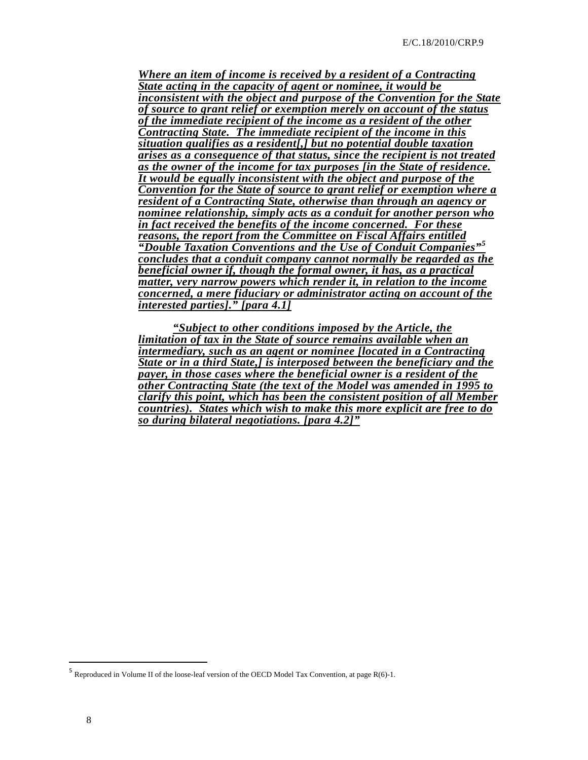*Where an item of income is received by a resident of a Contracting State acting in the capacity of agent or nominee, it would be inconsistent with the object and purpose of the Convention for the State of source to grant relief or exemption merely on account of the status of the immediate recipient of the income as a resident of the other Contracting State. The immediate recipient of the income in this situation qualifies as a resident[,] but no potential double taxation arises as a consequence of that status, since the recipient is not treated as the owner of the income for tax purposes [in the State of residence. It would be equally inconsistent with the object and purpose of the Convention for the State of source to grant relief or exemption where a resident of a Contracting State, otherwise than through an agency or nominee relationship, simply acts as a conduit for another person who in fact received the benefits of the income concerned. For these reasons, the report from the Committee on Fiscal Affairs entitled "Double Taxation Conventions and the Use of Conduit Companies"<sup>5</sup> concludes that a conduit company cannot normally be regarded as the beneficial owner if, though the formal owner, it has, as a practical matter, very narrow powers which render it, in relation to the income concerned, a mere fiduciary or administrator acting on account of the interested parties]." [para 4.1]*

*"Subject to other conditions imposed by the Article, the limitation of tax in the State of source remains available when an intermediary, such as an agent or nominee [located in a Contracting State or in a third State,] is interposed between the beneficiary and the payer, in those cases where the beneficial owner is a resident of the other Contracting State (the text of the Model was amended in 1995 to clarify this point, which has been the consistent position of all Member countries). States which wish to make this more explicit are free to do so during bilateral negotiations. [para 4.2]"*

 $5$  Reproduced in Volume II of the loose-leaf version of the OECD Model Tax Convention, at page R(6)-1.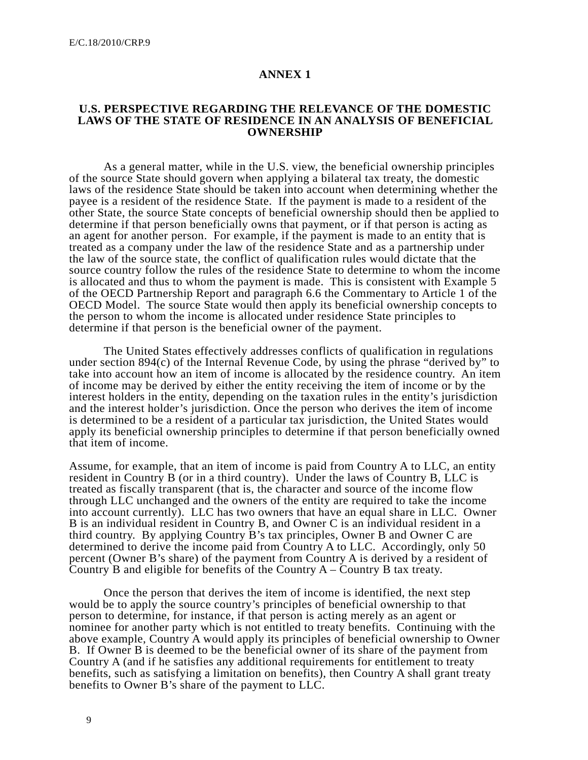### **ANNEX 1**

#### **U.S. PERSPECTIVE REGARDING THE RELEVANCE OF THE DOMESTIC LAWS OF THE STATE OF RESIDENCE IN AN ANALYSIS OF BENEFICIAL OWNERSHIP**

 As a general matter, while in the U.S. view, the beneficial ownership principles of the source State should govern when applying a bilateral tax treaty, the domestic laws of the residence State should be taken into account when determining whether the payee is a resident of the residence State. If the payment is made to a resident of the other State, the source State concepts of beneficial ownership should then be applied to determine if that person beneficially owns that payment, or if that person is acting as an agent for another person. For example, if the payment is made to an entity that is treated as a company under the law of the residence State and as a partnership under the law of the source state, the conflict of qualification rules would dictate that the source country follow the rules of the residence State to determine to whom the income is allocated and thus to whom the payment is made. This is consistent with Example 5 of the OECD Partnership Report and paragraph 6.6 the Commentary to Article 1 of the OECD Model. The source State would then apply its beneficial ownership concepts to the person to whom the income is allocated under residence State principles to determine if that person is the beneficial owner of the payment.

 The United States effectively addresses conflicts of qualification in regulations under section  $894(c)$  of the Internal Revenue Code, by using the phrase "derived by" to take into account how an item of income is allocated by the residence country. An item of income may be derived by either the entity receiving the item of income or by the interest holders in the entity, depending on the taxation rules in the entity's jurisdiction and the interest holder's jurisdiction. Once the person who derives the item of income is determined to be a resident of a particular tax jurisdiction, the United States would apply its beneficial ownership principles to determine if that person beneficially owned that item of income.

Assume, for example, that an item of income is paid from Country A to LLC, an entity resident in Country B (or in a third country). Under the laws of Country B, LLC is treated as fiscally transparent (that is, the character and source of the income flow through LLC unchanged and the owners of the entity are required to take the income into account currently). LLC has two owners that have an equal share in LLC. Owner B is an individual resident in Country B, and Owner C is an individual resident in a third country. By applying Country B's tax principles, Owner B and Owner C are determined to derive the income paid from Country A to LLC. Accordingly, only 50 percent (Owner B's share) of the payment from Country A is derived by a resident of Country B and eligible for benefits of the Country A – Country B tax treaty.

 Once the person that derives the item of income is identified, the next step would be to apply the source country's principles of beneficial ownership to that person to determine, for instance, if that person is acting merely as an agent or nominee for another party which is not entitled to treaty benefits. Continuing with the above example, Country A would apply its principles of beneficial ownership to Owner B. If Owner B is deemed to be the beneficial owner of its share of the payment from Country A (and if he satisfies any additional requirements for entitlement to treaty benefits, such as satisfying a limitation on benefits), then Country A shall grant treaty benefits to Owner B's share of the payment to LLC.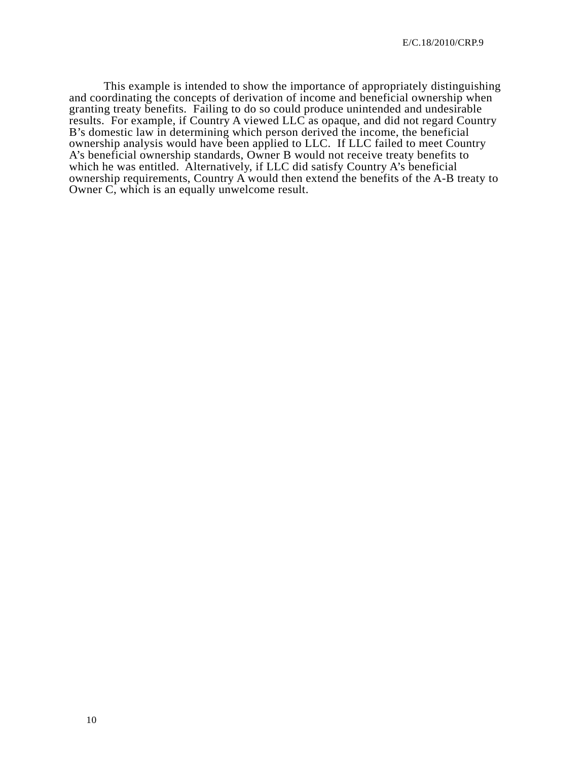This example is intended to show the importance of appropriately distinguishing and coordinating the concepts of derivation of income and beneficial ownership when granting treaty benefits. Failing to do so could produce unintended and undesirable results. For example, if Country A viewed LLC as opaque, and did not regard Country B's domestic law in determining which person derived the income, the beneficial ownership analysis would have been applied to LLC. If LLC failed to meet Country A's beneficial ownership standards, Owner B would not receive treaty benefits to which he was entitled. Alternatively, if LLC did satisfy Country A's beneficial ownership requirements, Country A would then extend the benefits of the A-B treaty to Owner C, which is an equally unwelcome result.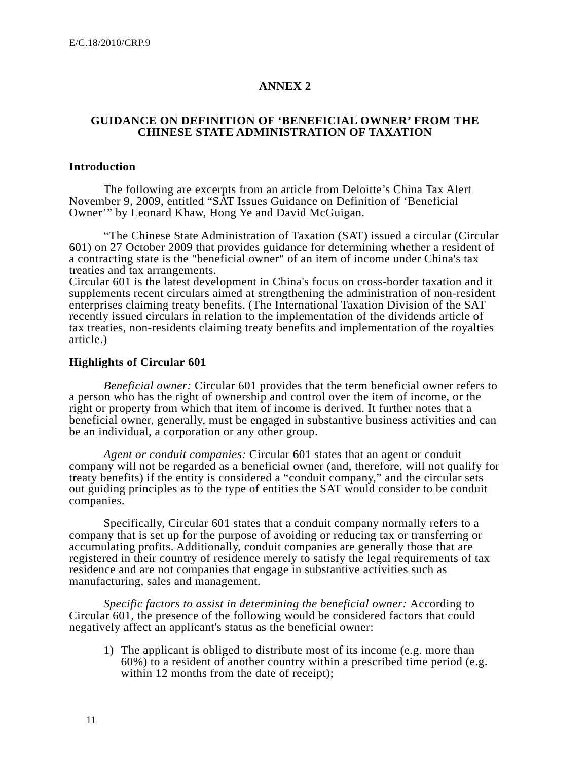# **ANNEX 2**

### **GUIDANCE ON DEFINITION OF 'BENEFICIAL OWNER' FROM THE CHINESE STATE ADMINISTRATION OF TAXATION**

#### **Introduction**

 The following are excerpts from an article from Deloitte's China Tax Alert November 9, 2009, entitled "SAT Issues Guidance on Definition of 'Beneficial Owner'" by Leonard Khaw, Hong Ye and David McGuigan.

 "The Chinese State Administration of Taxation (SAT) issued a circular (Circular 601) on 27 October 2009 that provides guidance for determining whether a resident of a contracting state is the "beneficial owner" of an item of income under China's tax treaties and tax arrangements.

Circular 601 is the latest development in China's focus on cross-border taxation and it supplements recent circulars aimed at strengthening the administration of non-resident enterprises claiming treaty benefits. (The International Taxation Division of the SAT recently issued circulars in relation to the implementation of the dividends article of tax treaties, non-residents claiming treaty benefits and implementation of the royalties article.)

#### **Highlights of Circular 601**

 *Beneficial owner:* Circular 601 provides that the term beneficial owner refers to a person who has the right of ownership and control over the item of income, or the right or property from which that item of income is derived. It further notes that a beneficial owner, generally, must be engaged in substantive business activities and can be an individual, a corporation or any other group.

 *Agent or conduit companies:* Circular 601 states that an agent or conduit company will not be regarded as a beneficial owner (and, therefore, will not qualify for treaty benefits) if the entity is considered a "conduit company," and the circular sets out guiding principles as to the type of entities the SAT would consider to be conduit companies.

 Specifically, Circular 601 states that a conduit company normally refers to a company that is set up for the purpose of avoiding or reducing tax or transferring or accumulating profits. Additionally, conduit companies are generally those that are registered in their country of residence merely to satisfy the legal requirements of tax residence and are not companies that engage in substantive activities such as manufacturing, sales and management.

 *Specific factors to assist in determining the beneficial owner:* According to Circular 601, the presence of the following would be considered factors that could negatively affect an applicant's status as the beneficial owner:

1) The applicant is obliged to distribute most of its income (e.g. more than 60%) to a resident of another country within a prescribed time period (e.g. within 12 months from the date of receipt);